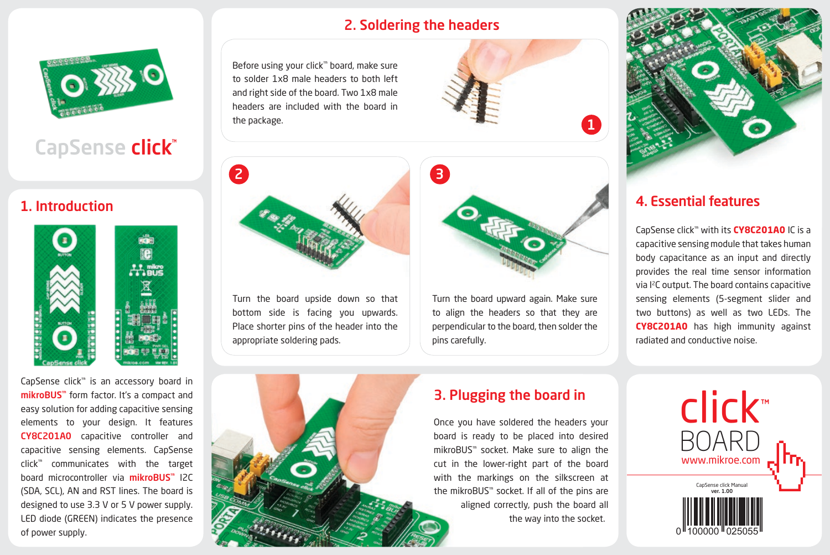## 2. Soldering the headers

Before using your click™ board, make sure to solder 1x8 male headers to both left and right side of the board. Two 1x8 male headers are included with the board in the package.





Turn the board upward again. Make sure to align the headers so that they are perpendicular to the board, then solder the pins carefully.



## 4. Essential features

CapSense click™ with its **CY8C201A0** IC is a capacitive sensing module that takes human body capacitance as an input and directly provides the real time sensor information via I2C output. The board contains capacitive sensing elements (5-segment slider and two buttons) as well as two LEDs. The **CY8C201A0** has high immunity against radiated and conductive noise.



CapSense click<sup>®</sup>

## 1. Introduction



CapSense click™ is an accessory board in mikroBUS™ form factor. It's a compact and easy solution for adding capacitive sensing elements to your design. It features CY8C201A0 capacitive controller and capacitive sensing elements. CapSense click™ communicates with the target board microcontroller via **mikroBUS**<sup>™</sup> I2C (SDA, SCL), AN and RST lines. The board is designed to use 3.3 V or 5 V power supply. LED diode (GREEN) indicates the presence of power supply.

Turn the board upside down so that bottom side is facing you upwards. Place shorter pins of the header into the appropriate soldering pads.



# 3. Plugging the board in

Once you have soldered the headers your board is ready to be placed into desired mikroBUS™ socket. Make sure to align the cut in the lower-right part of the board with the markings on the silkscreen at the mikroBUS™ socket. If all of the pins are aligned correctly, push the board all the way into the socket.